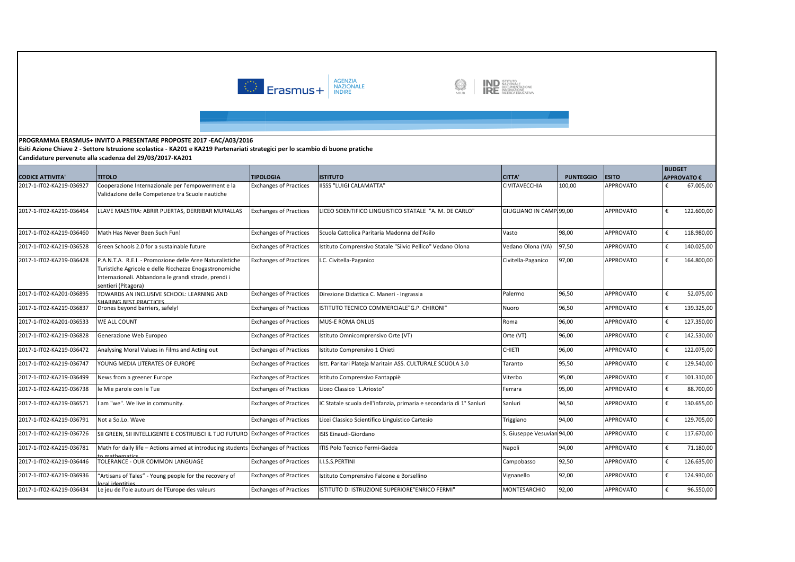

IND ISTITUTO<br>IND DOCUMENTAZIONE<br>IRE RICERCA EDUCATIVA S

**Esiti Azione Chiave 2 - Settore Istruzione scolastica - KA201 e KA219 Partenariati strategici per lo scambio di buone pratiche**

|                          |                                                                                                                                                                                                   |                               |                                                                     |                            |                  |                  | <b>BUDGET</b> |                    |
|--------------------------|---------------------------------------------------------------------------------------------------------------------------------------------------------------------------------------------------|-------------------------------|---------------------------------------------------------------------|----------------------------|------------------|------------------|---------------|--------------------|
| <b>CODICE ATTIVITA'</b>  | <b>TITOLO</b>                                                                                                                                                                                     | <b>TIPOLOGIA</b>              | <b>ISTITUTO</b>                                                     | <b>CITTA'</b>              | <b>PUNTEGGIO</b> | <b>ESITO</b>     |               | <b>APPROVATO €</b> |
| 2017-1-IT02-KA219-036927 | Cooperazione Internazionale per l'empowerment e la<br>Validazione delle Competenze tra Scuole nautiche                                                                                            | <b>Exchanges of Practices</b> | IISSS "LUIGI CALAMATTA"                                             | <b>CIVITAVECCHIA</b>       | 100,00           | <b>APPROVATO</b> | €             | 67.005,00          |
| 2017-1-IT02-KA219-036464 | LLAVE MAESTRA: ABRIR PUERTAS, DERRIBAR MURALLAS                                                                                                                                                   | <b>Exchanges of Practices</b> | LICEO SCIENTIFICO LINGUISTICO STATALE "A. M. DE CARLO"              | GIUGLIANO IN CAMP 99.00    |                  | <b>APPROVATO</b> | €             | 122.600,00         |
| 2017-1-IT02-KA219-036460 | Math Has Never Been Such Fun!                                                                                                                                                                     | <b>Exchanges of Practices</b> | Scuola Cattolica Paritaria Madonna dell'Asilo                       | Vasto                      | 98,00            | <b>APPROVATO</b> | €             | 118.980,00         |
| 2017-1-IT02-KA219-036528 | Green Schools 2.0 for a sustainable future                                                                                                                                                        | <b>Exchanges of Practices</b> | stituto Comprensivo Statale "Silvio Pellico" Vedano Olona           | Vedano Olona (VA)          | 97,50            | <b>APPROVATO</b> | €             | 140.025,00         |
| 2017-1-IT02-KA219-036428 | P.A.N.T.A. R.E.I. - Promozione delle Aree Naturalistiche<br>Turistiche Agricole e delle Ricchezze Enogastronomiche<br>Internazionali. Abbandona le grandi strade, prendi i<br>sentieri (Pitagora) | <b>Exchanges of Practices</b> | .C. Civitella-Paganico                                              | Civitella-Paganico         | 97,00            | <b>APPROVATO</b> | €             | 164.800,00         |
| 2017-1-IT02-KA201-036895 | TOWARDS AN INCLUSIVE SCHOOL: LEARNING AND<br>HARING REST PRACTICES                                                                                                                                | <b>Exchanges of Practices</b> | Direzione Didattica C. Maneri - Ingrassia                           | Palermo                    | 96,50            | <b>APPROVATO</b> | €             | 52.075,00          |
| 2017-1-IT02-KA219-036837 | Drones beyond barriers, safely!                                                                                                                                                                   | <b>Exchanges of Practices</b> | ISTITUTO TECNICO COMMERCIALE"G.P. CHIRONI"                          | Nuoro                      | 96,50            | <b>APPROVATO</b> | €             | 139.325,00         |
| 2017-1-IT02-KA201-036533 | <b>WE ALL COUNT</b>                                                                                                                                                                               | <b>Exchanges of Practices</b> | <b>MUS-E ROMA ONLUS</b>                                             | Roma                       | 96,00            | <b>APPROVATO</b> | €             | 127.350,00         |
| 2017-1-IT02-KA219-036828 | Generazione Web Europeo                                                                                                                                                                           | <b>Exchanges of Practices</b> | stituto Omnicomprensivo Orte (VT)                                   | Orte (VT)                  | 96,00            | <b>APPROVATO</b> | €             | 142.530,00         |
| 2017-1-IT02-KA219-036472 | Analysing Moral Values in Films and Acting out                                                                                                                                                    | <b>Exchanges of Practices</b> | stituto Comprensivo 1 Chieti                                        | <b>CHIETI</b>              | 96,00            | <b>APPROVATO</b> | €             | 122.075,00         |
| 2017-1-IT02-KA219-036747 | YOUNG MEDIA LITERATES OF EUROPE                                                                                                                                                                   | <b>Exchanges of Practices</b> | Istt. Paritari Plateja Maritain ASS. CULTURALE SCUOLA 3.0           | Taranto                    | 95,50            | <b>APPROVATO</b> | €             | 129.540,00         |
| 2017-1-IT02-KA219-036499 | News from a greener Europe                                                                                                                                                                        | <b>Exchanges of Practices</b> | stituto Comprensivo Fantappiè                                       | Viterbo                    | 95,00            | <b>APPROVATO</b> | €             | 101.310,00         |
| 2017-1-IT02-KA219-036738 | le Mie parole con le Tue                                                                                                                                                                          | <b>Exchanges of Practices</b> | Liceo Classico "L.Ariosto"                                          | Ferrara                    | 95,00            | <b>APPROVATO</b> | €             | 88.700,00          |
| 2017-1-IT02-KA219-036571 | I am "we". We live in community.                                                                                                                                                                  | <b>Exchanges of Practices</b> | C Statale scuola dell'infanzia, primaria e secondaria di 1º Sanluri | Sanluri                    | 94,50            | <b>APPROVATO</b> | €             | 130.655,00         |
| 2017-1-IT02-KA219-036791 | Not a So.Lo. Wave                                                                                                                                                                                 | <b>Exchanges of Practices</b> | Licei Classico Scientifico Linguistico Cartesio                     | Triggiano                  | 94,00            | <b>APPROVATO</b> | €             | 129.705,00         |
| 2017-1-IT02-KA219-036726 | SII GREEN, SII INTELLIGENTE E COSTRUISCI IL TUO FUTURO                                                                                                                                            | <b>Exchanges of Practices</b> | ISIS Einaudi-Giordano                                               | S. Giuseppe Vesuvian 94,00 |                  | <b>APPROVATO</b> | €             | 117.670,00         |
| 2017-1-IT02-KA219-036781 | Math for daily life - Actions aimed at introducing students<br>mathematics                                                                                                                        | <b>Exchanges of Practices</b> | ITIS Polo Tecnico Fermi-Gadda                                       | Napoli                     | 94,00            | <b>APPROVATO</b> | €             | 71.180,00          |
| 2017-1-IT02-KA219-036446 | TOLERANCE - OUR COMMON LANGUAGE                                                                                                                                                                   | <b>Exchanges of Practices</b> | I.I.S.S.PERTINI                                                     | Campobasso                 | 92,50            | <b>APPROVATO</b> | €             | 126.635,00         |
| 2017-1-IT02-KA219-036936 | "Artisans of Tales" - Young people for the recovery of<br>eititnehi lear                                                                                                                          | <b>Exchanges of Practices</b> | stituto Comprensivo Falcone e Borsellino                            | Vignanello                 | 92,00            | <b>APPROVATO</b> | €             | 124.930,00         |
| 2017-1-IT02-KA219-036434 | Le jeu de l'oie autours de l'Europe des valeurs                                                                                                                                                   | <b>Exchanges of Practices</b> | ISTITUTO DI ISTRUZIONE SUPERIORE"ENRICO FERMI"                      | <b>MONTESARCHIO</b>        | 92,00            | <b>APPROVATO</b> | €             | 96.550,00          |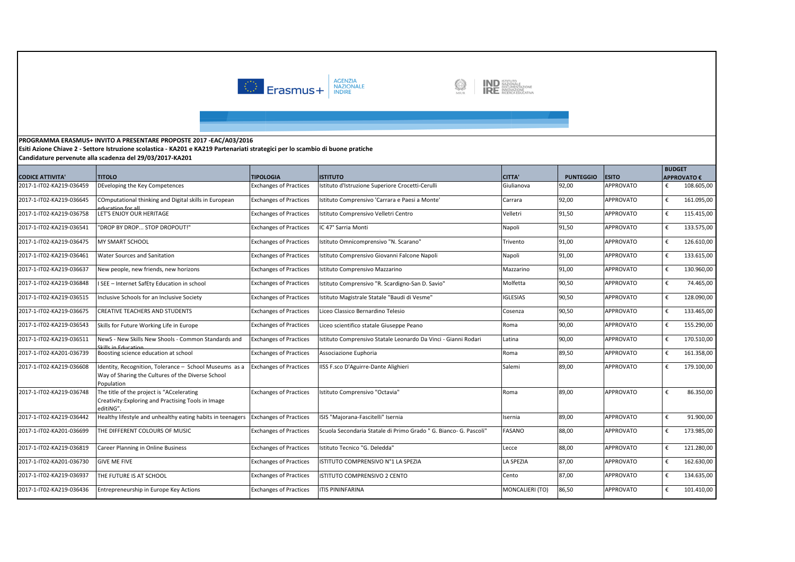



**Esiti Azione Chiave 2 - Settore Istruzione scolastica - KA201 e KA219 Partenariati strategici per lo scambio di buone pratiche Candidature pervenute alla scadenza del 29/03/2017-KA201** 

| <b>CODICE ATTIVITA'</b>  | <b>TITOLO</b>                                                                                                             | <b>TIPOLOGIA</b>              | <b>ISTITUTO</b>                                                   | <b>CITTA'</b>    | <b>PUNTEGGIO</b> | <b>ESITO</b>     | <b>BUDGET</b> | <b>APPROVATO €</b> |
|--------------------------|---------------------------------------------------------------------------------------------------------------------------|-------------------------------|-------------------------------------------------------------------|------------------|------------------|------------------|---------------|--------------------|
| 2017-1-IT02-KA219-036459 | DEveloping the Key Competences                                                                                            | <b>Exchanges of Practices</b> | stituto d'Istruzione Superiore Crocetti-Cerulli                   | Giulianova       | 92,00            | <b>APPROVATO</b> | €             | 108.605,00         |
| 2017-1-IT02-KA219-036645 | COmputational thinking and Digital skills in European<br>ducation for all                                                 | <b>Exchanges of Practices</b> | stituto Comprensivo 'Carrara e Paesi a Monte'                     | Carrara          | 92,00            | <b>APPROVATO</b> | €             | 161.095,00         |
| 2017-1-IT02-KA219-036758 | LET'S ENJOY OUR HERITAGE                                                                                                  | <b>Exchanges of Practices</b> | stituto Comprensivo Velletri Centro                               | Velletri         | 91,50            | <b>APPROVATO</b> | €             | 115.415,00         |
| 2017-1-IT02-KA219-036541 | "DROP BY DROP STOP DROPOUT!"                                                                                              | <b>Exchanges of Practices</b> | IC 47° Sarria Monti                                               | Napoli           | 91,50            | <b>APPROVATO</b> | €             | 133.575,00         |
| 2017-1-IT02-KA219-036475 | MY SMART SCHOOL                                                                                                           | <b>Exchanges of Practices</b> | stituto Omnicomprensivo "N. Scarano"                              | Trivento         | 91,00            | <b>APPROVATO</b> | €             | 126.610,00         |
| 2017-1-IT02-KA219-036461 | <b>Water Sources and Sanitation</b>                                                                                       | <b>Exchanges of Practices</b> | stituto Comprensivo Giovanni Falcone Napoli                       | Napoli           | 91,00            | <b>APPROVATO</b> | €             | 133.615,00         |
| 2017-1-IT02-KA219-036637 | New people, new friends, new horizons                                                                                     | <b>Exchanges of Practices</b> | Istituto Comprensivo Mazzarino                                    | Mazzarino        | 91,00            | <b>APPROVATO</b> | €             | 130.960,00         |
| 2017-1-IT02-KA219-036848 | I SEE - Internet SafEty Education in school                                                                               | <b>Exchanges of Practices</b> | stituto Comprensivo "R. Scardigno-San D. Savio"                   | Molfetta         | 90,50            | <b>APPROVATO</b> | €             | 74.465,00          |
| 2017-1-IT02-KA219-036515 | Inclusive Schools for an Inclusive Society                                                                                | <b>Exchanges of Practices</b> | stituto Magistrale Statale "Baudi di Vesme"                       | <b>IGLESIAS</b>  | 90,50            | <b>APPROVATO</b> | €             | 128.090,00         |
| 2017-1-IT02-KA219-036675 | CREATIVE TEACHERS AND STUDENTS                                                                                            | <b>Exchanges of Practices</b> | Liceo Classico Bernardino Telesio                                 | Cosenza          | 90,50            | <b>APPROVATO</b> | €             | 133.465,00         |
| 2017-1-IT02-KA219-036543 | Skills for Future Working Life in Europe                                                                                  | <b>Exchanges of Practices</b> | Liceo scientifico statale Giuseppe Peano                          | Roma             | 90,00            | <b>APPROVATO</b> | €             | 155.290,00         |
| 2017-1-IT02-KA219-036511 | NewS - New Skills New Shools - Common Standards and                                                                       | <b>Exchanges of Practices</b> | stituto Comprensivo Statale Leonardo Da Vinci - Gianni Rodari     | Latina           | 90,00            | <b>APPROVATO</b> | €             | 170.510,00         |
| 2017-1-IT02-KA201-036739 | kille in Education<br>Boosting science education at school                                                                | <b>Exchanges of Practices</b> | Associazione Euphoria                                             | Roma             | 89,50            | <b>APPROVATO</b> | €             | 161.358,00         |
| 2017-1-IT02-KA219-036608 | Identity, Recognition, Tolerance - School Museums as a<br>Way of Sharing the Cultures of the Diverse School<br>Population | <b>Exchanges of Practices</b> | ISS F.sco D'Aguirre-Dante Alighieri                               | Salemi           | 89,00            | <b>APPROVATO</b> | €             | 179.100,00         |
| 2017-1-IT02-KA219-036748 | The title of the project is "ACcelerating<br>Creativity: Exploring and Practising Tools in Image<br>editiNG".             | <b>Exchanges of Practices</b> | stituto Comprensivo "Octavia"                                     | Roma             | 89,00            | <b>APPROVATO</b> | €             | 86.350,00          |
| 2017-1-IT02-KA219-036442 | Healthy lifestyle and unhealthy eating habits in teenagers                                                                | <b>Exchanges of Practices</b> | ISIS "Majorana-Fascitelli" Isernia                                | Isernia          | 89,00            | <b>APPROVATO</b> | €             | 91.900,00          |
| 2017-1-IT02-KA201-036699 | THE DIFFERENT COLOURS OF MUSIC                                                                                            | <b>Exchanges of Practices</b> | Scuola Secondaria Statale di Primo Grado " G. Bianco- G. Pascoli" | <b>FASANO</b>    | 88,00            | <b>APPROVATO</b> | €             | 173.985,00         |
| 2017-1-IT02-KA219-036819 | Career Planning in Online Business                                                                                        | <b>Exchanges of Practices</b> | stituto Tecnico "G. Deledda"                                      | Lecce            | 88,00            | <b>APPROVATO</b> | €             | 121.280,00         |
| 2017-1-IT02-KA201-036730 | <b>GIVE ME FIVE</b>                                                                                                       | <b>Exchanges of Practices</b> | <b>ISTITUTO COMPRENSIVO N°1 LA SPEZIA</b>                         | <b>LA SPEZIA</b> | 87,00            | <b>APPROVATO</b> | €             | 162.630,00         |
| 2017-1-IT02-KA219-036937 | THE FUTURE IS AT SCHOOL                                                                                                   | <b>Exchanges of Practices</b> | <b>ISTITUTO COMPRENSIVO 2 CENTO</b>                               | Cento            | 87,00            | <b>APPROVATO</b> | €             | 134.635,00         |
| 2017-1-IT02-KA219-036436 | Entrepreneurship in Europe Key Actions                                                                                    | <b>Exchanges of Practices</b> | <b>ITIS PININFARINA</b>                                           | MONCALIERI (TO)  | 86,50            | <b>APPROVATO</b> | €             | 101.410,00         |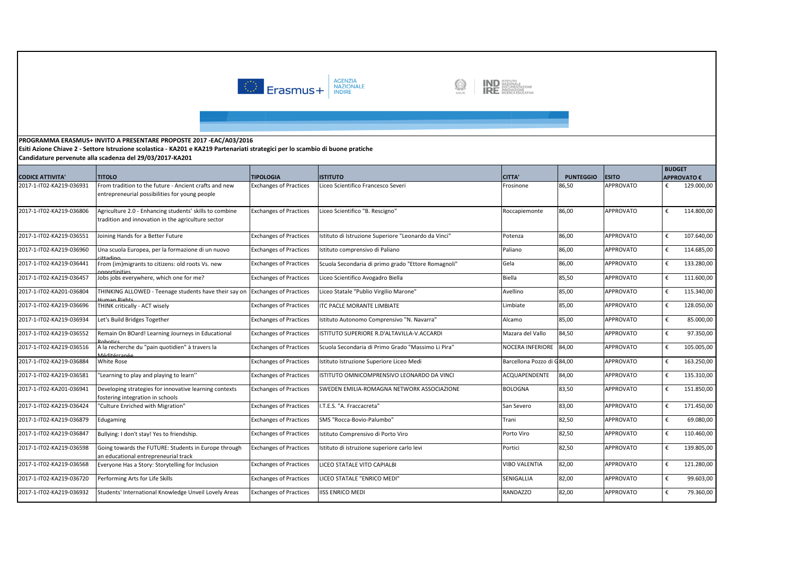

IND ISTITUTO<br>IND DOCUMENTAZIONE<br>IRE RICERCA EDUCATIVA S

**Esiti Azione Chiave 2 - Settore Istruzione scolastica - KA201 e KA219 Partenariati strategici per lo scambio di buone pratiche Candidature pervenute alla scadenza del 29/03/2017-KA201** 

|                          |                                                                                                               |                               |                                                     |                            |                  |                  | <b>BUDGET</b> |                    |
|--------------------------|---------------------------------------------------------------------------------------------------------------|-------------------------------|-----------------------------------------------------|----------------------------|------------------|------------------|---------------|--------------------|
| <b>CODICE ATTIVITA'</b>  | <b>TITOLO</b>                                                                                                 | <b>TIPOLOGIA</b>              | <b>ISTITUTO</b>                                     | <b>CITTA'</b>              | <b>PUNTEGGIO</b> | <b>ESITO</b>     |               | <b>APPROVATO €</b> |
| 2017-1-IT02-KA219-036931 | From tradition to the future - Ancient crafts and new<br>entrepreneurial possibilities for young people       | <b>Exchanges of Practices</b> | Liceo Scientifico Francesco Severi                  | Frosinone                  | 86,50            | <b>APPROVATO</b> | €             | 129.000,00         |
| 2017-1-IT02-KA219-036806 | Agriculture 2.0 - Enhancing students' skills to combine<br>tradition and innovation in the agriculture sector | <b>Exchanges of Practices</b> | Liceo Scientifico "B. Rescigno"                     | Roccapiemonte              | 86,00            | <b>APPROVATO</b> | €             | 114.800,00         |
| 2017-1-IT02-KA219-036551 | Joining Hands for a Better Future                                                                             | <b>Exchanges of Practices</b> | stituto di Istruzione Superiore "Leonardo da Vinci" | Potenza                    | 86,00            | <b>APPROVATO</b> | €             | 107.640,00         |
| 2017-1-IT02-KA219-036960 | Una scuola Europea, per la formazione di un nuovo                                                             | <b>Exchanges of Practices</b> | Istituto comprensivo di Paliano                     | Paliano                    | 86,00            | <b>APPROVATO</b> | €             | 114.685,00         |
| 2017-1-IT02-KA219-036441 | From (im)migrants to citizens: old roots Vs. new<br>nnortinities                                              | <b>Exchanges of Practices</b> | Scuola Secondaria di primo grado "Ettore Romagnoli" | Gela                       | 86,00            | <b>APPROVATO</b> |               | 133.280,00         |
| 2017-1-IT02-KA219-036457 | Jobs jobs everywhere, which one for me?                                                                       | <b>Exchanges of Practices</b> | Liceo Scientifico Avogadro Biella                   | Biella                     | 85,50            | <b>APPROVATO</b> | €             | 111.600,00         |
| 2017-1-IT02-KA201-036804 | THINKING ALLOWED - Teenage students have their say or<br><b>Juman Rights</b>                                  | <b>Exchanges of Practices</b> | Liceo Statale "Publio Virgilio Marone"              | Avellino                   | 85,00            | <b>APPROVATO</b> | €             | 115.340,00         |
| 2017-1-IT02-KA219-036696 | THINK critically - ACT wisely                                                                                 | <b>Exchanges of Practices</b> | <b>ITC PACLE MORANTE LIMBIATE</b>                   | Limbiate                   | 85,00            | <b>APPROVATO</b> | €             | 128.050,00         |
| 2017-1-IT02-KA219-036934 | Let's Build Bridges Together                                                                                  | <b>Exchanges of Practices</b> | Istituto Autonomo Comprensivo "N. Navarra"          | Alcamo                     | 85,00            | <b>APPROVATO</b> | €             | 85.000,00          |
| 2017-1-IT02-KA219-036552 | Remain On BOard! Learning Journeys in Educational                                                             | <b>Exchanges of Practices</b> | STITUTO SUPERIORE R.D'ALTAVILLA-V.ACCARDI           | Mazara del Vallo           | 84,50            | <b>APPROVATO</b> | €             | 97.350,00          |
| 2017-1-IT02-KA219-036516 | A la recherche du "pain quotidien" à travers la<br><i>A</i> áditárranác                                       | <b>Exchanges of Practices</b> | Scuola Secondaria di Primo Grado "Massimo Li Pira"  | NOCERA INFERIORE           | 84,00            | <b>APPROVATO</b> | €             | 105.005,00         |
| 2017-1-IT02-KA219-036884 | White Rose                                                                                                    | <b>Exchanges of Practices</b> | stituto Istruzione Superiore Liceo Medi             | Barcellona Pozzo di G84,00 |                  | <b>APPROVATO</b> | €             | 163.250,00         |
| 2017-1-IT02-KA219-036581 | "Learning to play and playing to learn"                                                                       | <b>Exchanges of Practices</b> | STITUTO OMNICOMPRENSIVO LEONARDO DA VINCI           | ACQUAPENDENTE              | 84,00            | <b>APPROVATO</b> | €             | 135.310,00         |
| 2017-1-IT02-KA201-036941 | Developing strategies for innovative learning contexts<br>fostering integration in schools                    | <b>Exchanges of Practices</b> | SWEDEN EMILIA-ROMAGNA NETWORK ASSOCIAZIONE          | <b>BOLOGNA</b>             | 83,50            | <b>APPROVATO</b> | €             | 151.850,00         |
| 2017-1-IT02-KA219-036424 | "Culture Enriched with Migration"                                                                             | <b>Exchanges of Practices</b> | .T.E.S. "A. Fraccacreta"                            | San Severo                 | 83,00            | <b>APPROVATO</b> | €             | 171.450,00         |
| 2017-1-IT02-KA219-036879 | Edugaming                                                                                                     | <b>Exchanges of Practices</b> | SMS "Rocca-Bovio-Palumbo"                           | Trani                      | 82,50            | <b>APPROVATO</b> | €             | 69.080,00          |
| 2017-1-IT02-KA219-036847 | Bullying: I don't stay! Yes to friendship.                                                                    | <b>Exchanges of Practices</b> | Istituto Comprensivo di Porto Viro                  | Porto Viro                 | 82,50            | <b>APPROVATO</b> | €             | 110.460,00         |
| 2017-1-IT02-KA219-036598 | Going towards the FUTURE: Students in Europe through<br>an educational entrepreneurial track                  | <b>Exchanges of Practices</b> | stituto di istruzione superiore carlo levi          | Portici                    | 82,50            | <b>APPROVATO</b> | €             | 139.805,00         |
| 2017-1-IT02-KA219-036568 | Everyone Has a Story: Storytelling for Inclusion                                                              | <b>Exchanges of Practices</b> | LICEO STATALE VITO CAPIALBI                         | <b>VIBO VALENTIA</b>       | 82,00            | <b>APPROVATO</b> | €             | 121.280,00         |
| 2017-1-IT02-KA219-036720 | Performing Arts for Life Skills                                                                               | <b>Exchanges of Practices</b> | LICEO STATALE "ENRICO MEDI"                         | SENIGALLIA                 | 82,00            | <b>APPROVATO</b> | €             | 99.603,00          |
| 2017-1-IT02-KA219-036932 | Students' International Knowledge Unveil Lovely Areas                                                         | <b>Exchanges of Practices</b> | <b>ISS ENRICO MEDI</b>                              | <b>RANDAZZO</b>            | 82,00            | <b>APPROVATO</b> | €             | 79.360,00          |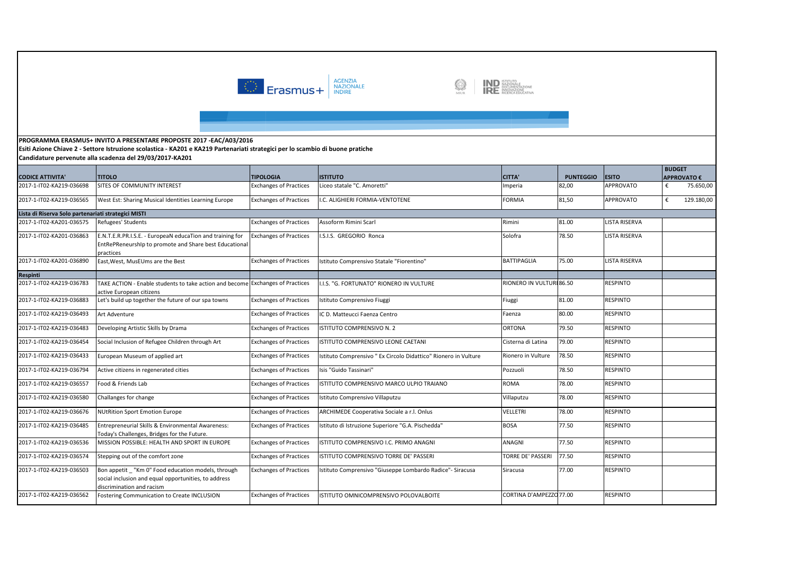



**Esiti Azione Chiave 2 - Settore Istruzione scolastica - KA201 e KA219 Partenariati strategici per lo scambio di buone pratiche**

| <b>CODICE ATTIVITA'</b>                             | <b>TITOLO</b>                                                                                                                          | <b>TIPOLOGIA</b>              | <b>ISTITUTO</b>                                                 | <b>CITTA'</b>            | <b>PUNTEGGIO</b> | <b>ESITO</b>         | <b>BUDGET</b> | <b>APPROVATO €</b> |
|-----------------------------------------------------|----------------------------------------------------------------------------------------------------------------------------------------|-------------------------------|-----------------------------------------------------------------|--------------------------|------------------|----------------------|---------------|--------------------|
| 2017-1-IT02-KA219-036698                            | SITES OF COMMUNITY INTEREST                                                                                                            | <b>Exchanges of Practices</b> | Liceo statale "C. Amoretti"                                     | mperia                   | 82,00            | <b>APPROVATO</b>     | €             | 75.650,00          |
| 2017-1-IT02-KA219-036565                            | West Est: Sharing Musical Identities Learning Europe                                                                                   | <b>Exchanges of Practices</b> | C. ALIGHIERI FORMIA-VENTOTENE                                   | <b>FORMIA</b>            | 81,50            | <b>APPROVATO</b>     | €             | 129.180,00         |
| Lista di Riserva Solo partenariati strategici MISTI |                                                                                                                                        |                               |                                                                 |                          |                  |                      |               |                    |
| 2017-1-IT02-KA201-036575                            | Refugees' Students                                                                                                                     | <b>Exchanges of Practices</b> | Assoform Rimini Scarl                                           | Rimini                   | 81.00            | <b>LISTA RISERVA</b> |               |                    |
| 2017-1-IT02-KA201-036863                            | E.N.T.E.R.PR.I.S.E. - EuropeaN educaTion and training for<br>EntRePReneurshIp to promote and Share best Educational<br>practices       | <b>Exchanges of Practices</b> | .S.I.S. GREGORIO Ronca                                          | Solofra                  | 78.50            | <b>LISTA RISERVA</b> |               |                    |
| 2017-1-IT02-KA201-036890                            | East, West, MusEUms are the Best                                                                                                       | <b>Exchanges of Practices</b> | Istituto Comprensivo Statale "Fiorentino"                       | <b>BATTIPAGLIA</b>       | 75.00            | <b>LISTA RISERVA</b> |               |                    |
| Respinti                                            |                                                                                                                                        |                               |                                                                 |                          |                  |                      |               |                    |
| 2017-1-IT02-KA219-036783                            | TAKE ACTION - Enable students to take action and become Exchanges of Practices<br>active European citizens                             |                               | I.S. "G. FORTUNATO" RIONERO IN VULTURE                          | RIONERO IN VULTURI 86.50 |                  | <b>RESPINTO</b>      |               |                    |
| 2017-1-IT02-KA219-036883                            | Let's build up together the future of our spa towns                                                                                    | <b>Exchanges of Practices</b> | Istituto Comprensivo Fiuggi                                     | Fiuggi                   | 81.00            | <b>RESPINTO</b>      |               |                    |
| 2017-1-IT02-KA219-036493                            | Art Adventure                                                                                                                          | <b>Exchanges of Practices</b> | <b>C D. Matteucci Faenza Centro</b>                             | Faenza                   | 80.00            | <b>RESPINTO</b>      |               |                    |
| 2017-1-IT02-KA219-036483                            | Developing Artistic Skills by Drama                                                                                                    | <b>Exchanges of Practices</b> | STITUTO COMPRENSIVO N. 2                                        | <b>ORTONA</b>            | 79.50            | <b>RESPINTO</b>      |               |                    |
| 2017-1-IT02-KA219-036454                            | Social Inclusion of Refugee Children through Art                                                                                       | <b>Exchanges of Practices</b> | <b>STITUTO COMPRENSIVO LEONE CAETANI</b>                        | Cisterna di Latina       | 79.00            | <b>RESPINTO</b>      |               |                    |
| 2017-1-IT02-KA219-036433                            | European Museum of applied art                                                                                                         | <b>Exchanges of Practices</b> | Istituto Comprensivo " Ex Circolo Didattico" Rionero in Vulture | Rionero in Vulture       | 78.50            | <b>RESPINTO</b>      |               |                    |
| 2017-1-IT02-KA219-036794                            | Active citizens in regenerated cities                                                                                                  | <b>Exchanges of Practices</b> | Isis "Guido Tassinari"                                          | Pozzuoli                 | 78.50            | <b>RESPINTO</b>      |               |                    |
| 2017-1-IT02-KA219-036557                            | Food & Friends Lab                                                                                                                     | <b>Exchanges of Practices</b> | STITUTO COMPRENSIVO MARCO ULPIO TRAIANO                         | <b>ROMA</b>              | 78.00            | <b>RESPINTO</b>      |               |                    |
| 2017-1-IT02-KA219-036580                            | Challanges for change                                                                                                                  | <b>Exchanges of Practices</b> | Istituto Comprensivo Villaputzu                                 | Villaputzu               | 78.00            | <b>RESPINTO</b>      |               |                    |
| 2017-1-IT02-KA219-036676                            | <b>NUtRition Sport Emotion Europe</b>                                                                                                  | <b>Exchanges of Practices</b> | ARCHIMEDE Cooperativa Sociale a r.l. Onlus                      | VELLETRI                 | 78.00            | <b>RESPINTO</b>      |               |                    |
| 2017-1-IT02-KA219-036485                            | Entrepreneurial Skills & Environmental Awareness:<br>Today's Challenges, Bridges for the Future.                                       | <b>Exchanges of Practices</b> | Istituto di Istruzione Superiore "G.A. Pischedda"               | <b>BOSA</b>              | 77.50            | <b>RESPINTO</b>      |               |                    |
| 2017-1-IT02-KA219-036536                            | MISSION POSSIBLE: HEALTH AND SPORT IN EUROPE                                                                                           | <b>Exchanges of Practices</b> | <b>STITUTO COMPRENSIVO I.C. PRIMO ANAGNI</b>                    | ANAGNI                   | 77.50            | <b>RESPINTO</b>      |               |                    |
| 2017-1-IT02-KA219-036574                            | Stepping out of the comfort zone                                                                                                       | <b>Exchanges of Practices</b> | <b>ISTITUTO COMPRENSIVO TORRE DE' PASSERI</b>                   | <b>TORRE DE' PASSERI</b> | 77.50            | <b>RESPINTO</b>      |               |                    |
| 2017-1-IT02-KA219-036503                            | Bon appetit "Km 0" Food education models, through<br>social inclusion and equal opportunities, to address<br>discrimination and racism | <b>Exchanges of Practices</b> | Istituto Comprensivo "Giuseppe Lombardo Radice"- Siracusa       | Siracusa                 | 77.00            | <b>RESPINTO</b>      |               |                    |
| 2017-1-IT02-KA219-036562                            | Fostering Communication to Create INCLUSION                                                                                            | <b>Exchanges of Practices</b> | STITUTO OMNICOMPRENSIVO POLOVALBOITE                            | CORTINA D'AMPEZZO 77.00  |                  | <b>RESPINTO</b>      |               |                    |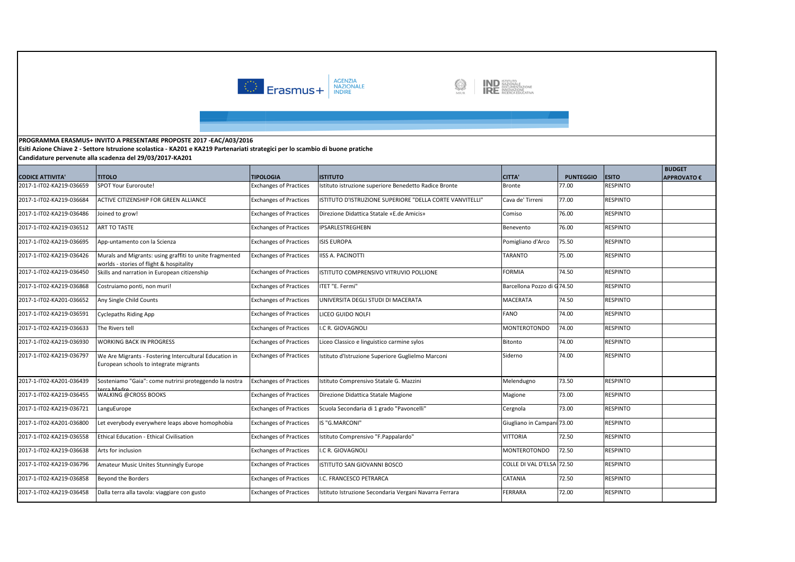



**Esiti Azione Chiave 2 - Settore Istruzione scolastica - KA201 e KA219 Partenariati strategici per lo scambio di buone pratiche**

| <b>CODICE ATTIVITA'</b>  | <b>TITOLO</b>                                                                                       | <b>TIPOLOGIA</b>              | <b>ISTITUTO</b>                                          | <b>CITTA'</b>              | <b>PUNTEGGIO</b> | <b>ESITO</b>    | <b>BUDGET</b><br><b>APPROVATO €</b> |
|--------------------------|-----------------------------------------------------------------------------------------------------|-------------------------------|----------------------------------------------------------|----------------------------|------------------|-----------------|-------------------------------------|
| 2017-1-IT02-KA219-036659 | <b>SPOT Your Euroroute!</b>                                                                         | <b>Exchanges of Practices</b> | Istituto istruzione superiore Benedetto Radice Bronte    | <b>Bronte</b>              | 77.00            | <b>RESPINTO</b> |                                     |
| 2017-1-IT02-KA219-036684 | ACTIVE CITIZENSHIP FOR GREEN ALLIANCE                                                               | <b>Exchanges of Practices</b> | ISTITUTO D'ISTRUZIONE SUPERIORE "DELLA CORTE VANVITELLI" | Cava de' Tirreni           | 77.00            | <b>RESPINTO</b> |                                     |
| 2017-1-IT02-KA219-036486 | Joined to grow!                                                                                     | <b>Exchanges of Practices</b> | Direzione Didattica Statale «E.de Amicis»                | Comiso                     | 76.00            | <b>RESPINTO</b> |                                     |
| 2017-1-IT02-KA219-036512 | ART TO TASTE                                                                                        | <b>Exchanges of Practices</b> | IPSARLESTREGHEBN                                         | Benevento                  | 76.00            | <b>RESPINTO</b> |                                     |
| 2017-1-IT02-KA219-036695 | App-untamento con la Scienza                                                                        | <b>Exchanges of Practices</b> | <b>ISIS EUROPA</b>                                       | Pomigliano d'Arco          | 75.50            | <b>RESPINTO</b> |                                     |
| 2017-1-IT02-KA219-036426 | Murals and Migrants: using graffiti to unite fragmented<br>worlds - stories of flight & hospitality | <b>Exchanges of Practices</b> | <b>IISS A. PACINOTTI</b>                                 | <b>TARANTO</b>             | 75.00            | <b>RESPINTO</b> |                                     |
| 2017-1-IT02-KA219-036450 | Skills and narration in European citizenship                                                        | <b>Exchanges of Practices</b> | ISTITUTO COMPRENSIVO VITRUVIO POLLIONE                   | <b>FORMIA</b>              | 74.50            | <b>RESPINTO</b> |                                     |
| 2017-1-IT02-KA219-036868 | Costruiamo ponti, non muri!                                                                         | <b>Exchanges of Practices</b> | ITET "E. Fermi"                                          | Barcellona Pozzo di G74.50 |                  | <b>RESPINTO</b> |                                     |
| 2017-1-IT02-KA201-036652 | Any Single Child Counts                                                                             | <b>Exchanges of Practices</b> | UNIVERSITA DEGLI STUDI DI MACERATA                       | MACERATA                   | 74.50            | <b>RESPINTO</b> |                                     |
| 2017-1-IT02-KA219-036591 | <b>Cyclepaths Riding App</b>                                                                        | <b>Exchanges of Practices</b> | LICEO GUIDO NOLFI                                        | <b>FANO</b>                | 74.00            | <b>RESPINTO</b> |                                     |
| 2017-1-IT02-KA219-036633 | The Rivers tell                                                                                     | <b>Exchanges of Practices</b> | I.C R. GIOVAGNOLI                                        | <b>MONTEROTONDO</b>        | 74.00            | <b>RESPINTO</b> |                                     |
| 2017-1-IT02-KA219-036930 | <b>WORKING BACK IN PROGRESS</b>                                                                     | <b>Exchanges of Practices</b> | Liceo Classico e linguistico carmine sylos               | <b>Bitonto</b>             | 74.00            | <b>RESPINTO</b> |                                     |
| 2017-1-IT02-KA219-036797 | We Are Migrants - Fostering Intercultural Education in<br>European schools to integrate migrants    | <b>Exchanges of Practices</b> | Istituto d'Istruzione Superiore Guglielmo Marconi        | Siderno                    | 74.00            | <b>RESPINTO</b> |                                     |
| 2017-1-IT02-KA201-036439 | Sosteniamo "Gaia": come nutrirsi proteggendo la nostra<br>arra Madro                                | <b>Exchanges of Practices</b> | Istituto Comprensivo Statale G. Mazzini                  | Melendugno                 | 73.50            | <b>RESPINTO</b> |                                     |
| 2017-1-IT02-KA219-036455 | <b>WALKING @CROSS BOOKS</b>                                                                         | <b>Exchanges of Practices</b> | Direzione Didattica Statale Magione                      | Magione                    | 73.00            | <b>RESPINTO</b> |                                     |
| 2017-1-IT02-KA219-036721 | LanguEurope                                                                                         | <b>Exchanges of Practices</b> | Scuola Secondaria di 1 grado "Pavoncelli"                | Cergnola                   | 73.00            | <b>RESPINTO</b> |                                     |
| 2017-1-IT02-KA201-036800 | Let everybody everywhere leaps above homophobia                                                     | <b>Exchanges of Practices</b> | IS "G.MARCONI"                                           | Giugliano in Campani 73.00 |                  | <b>RESPINTO</b> |                                     |
| 2017-1-IT02-KA219-036558 | <b>Ethical Education - Ethical Civilisation</b>                                                     | <b>Exchanges of Practices</b> | Istituto Comprensivo "F.Pappalardo"                      | <b>VITTORIA</b>            | 72.50            | <b>RESPINTO</b> |                                     |
| 2017-1-IT02-KA219-036638 | Arts for inclusion                                                                                  | <b>Exchanges of Practices</b> | I.C R. GIOVAGNOLI                                        | <b>MONTEROTONDO</b>        | 72.50            | <b>RESPINTO</b> |                                     |
| 2017-1-IT02-KA219-036796 | Amateur Music Unites Stunningly Europe                                                              | <b>Exchanges of Practices</b> | ISTITUTO SAN GIOVANNI BOSCO                              | COLLE DI VAL D'ELSA 72.50  |                  | <b>RESPINTO</b> |                                     |
| 2017-1-IT02-KA219-036858 | Beyond the Borders                                                                                  | <b>Exchanges of Practices</b> | .C. FRANCESCO PETRARCA                                   | CATANIA                    | 72.50            | <b>RESPINTO</b> |                                     |
| 2017-1-IT02-KA219-036458 | Dalla terra alla tavola: viaggiare con gusto                                                        | <b>Exchanges of Practices</b> | Istituto Istruzione Secondaria Vergani Navarra Ferrara   | FERRARA                    | 72.00            | <b>RESPINTO</b> |                                     |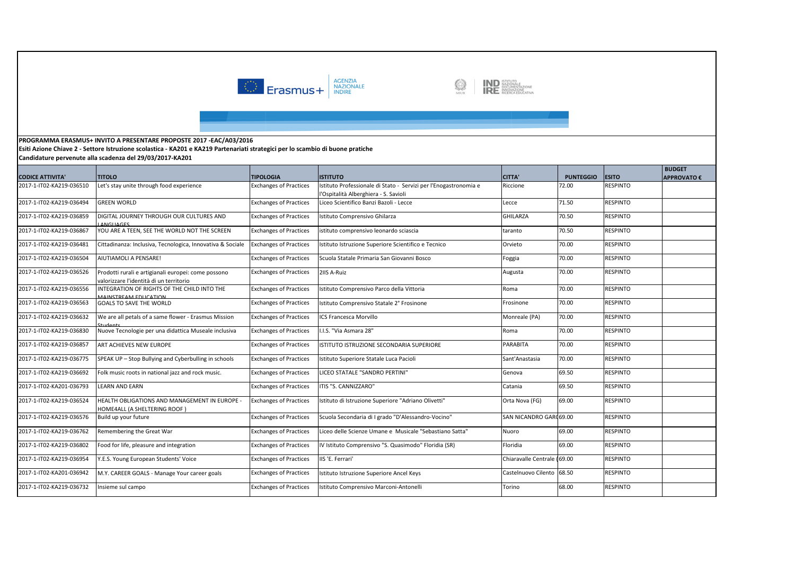



**Esiti Azione Chiave 2 - Settore Istruzione scolastica - KA201 e KA219 Partenariati strategici per lo scambio di buone pratiche**

|                          |                                                                                                |                               |                                                                                                           |                             |                  |                 | <b>BUDGET</b>      |
|--------------------------|------------------------------------------------------------------------------------------------|-------------------------------|-----------------------------------------------------------------------------------------------------------|-----------------------------|------------------|-----------------|--------------------|
| <b>CODICE ATTIVITA'</b>  | <b>TITOLO</b>                                                                                  | <b>TIPOLOGIA</b>              | <b>ISTITUTO</b>                                                                                           | <b>CITTA'</b>               | <b>PUNTEGGIO</b> | <b>ESITO</b>    | <b>APPROVATO €</b> |
| 2017-1-IT02-KA219-036510 | Let's stay unite through food experience                                                       | <b>Exchanges of Practices</b> | Istituto Professionale di Stato - Servizi per l'Enogastronomia e<br>l'Ospitalità Alberghiera - S. Savioli | Riccione                    | 72.00            | <b>RESPINTO</b> |                    |
| 2017-1-IT02-KA219-036494 | <b>GREEN WORLD</b>                                                                             | <b>Exchanges of Practices</b> | Liceo Scientifico Banzi Bazoli - Lecce                                                                    | Lecce                       | 71.50            | <b>RESPINTO</b> |                    |
| 2017-1-IT02-KA219-036859 | DIGITAL JOURNEY THROUGH OUR CULTURES AND<br><b>ANGLIAGES</b>                                   | <b>Exchanges of Practices</b> | Istituto Comprensivo Ghilarza                                                                             | <b>GHILARZA</b>             | 70.50            | <b>RESPINTO</b> |                    |
| 2017-1-IT02-KA219-036867 | YOU ARE A TEEN, SEE THE WORLD NOT THE SCREEN                                                   | <b>Exchanges of Practices</b> | istituto comprensivo leonardo sciascia                                                                    | taranto                     | 70.50            | <b>RESPINTO</b> |                    |
| 2017-1-IT02-KA219-036481 | Cittadinanza: Inclusiva, Tecnologica, Innovativa & Sociale                                     | xchanges of Practices         | Istituto Istruzione Superiore Scientifico e Tecnico                                                       | Orvieto                     | 70.00            | <b>RESPINTO</b> |                    |
| 2017-1-IT02-KA219-036504 | AIUTIAMOLI A PENSARE!                                                                          | <b>Exchanges of Practices</b> | Scuola Statale Primaria San Giovanni Bosco                                                                | Foggia                      | 70.00            | <b>RESPINTO</b> |                    |
| 2017-1-IT02-KA219-036526 | Prodotti rurali e artigianali europei: come possono<br>valorizzare l'identità di un territorio | <b>Exchanges of Practices</b> | 2IIS A-Ruiz                                                                                               | Augusta                     | 70.00            | <b>RESPINTO</b> |                    |
| 2017-1-IT02-KA219-036556 | INTEGRATION OF RIGHTS OF THE CHILD INTO THE<br><b><i>ANINICTREAM EDUCATION</i></b>             | <b>Exchanges of Practices</b> | Istituto Comprensivo Parco della Vittoria                                                                 | Roma                        | 70.00            | <b>RESPINTO</b> |                    |
| 2017-1-IT02-KA219-036563 | <b>GOALS TO SAVE THE WORLD</b>                                                                 | <b>Exchanges of Practices</b> | Istituto Comprensivo Statale 2° Frosinone                                                                 | Frosinone                   | 70.00            | <b>RESPINTO</b> |                    |
| 2017-1-IT02-KA219-036632 | We are all petals of a same flower - Erasmus Mission<br>tudants                                | <b>Exchanges of Practices</b> | ICS Francesca Morvillo                                                                                    | Monreale (PA)               | 70.00            | <b>RESPINTO</b> |                    |
| 2017-1-IT02-KA219-036830 | Nuove Tecnologie per una didattica Museale inclusiva                                           | <b>Exchanges of Practices</b> | I.I.S. "Via Asmara 28"                                                                                    | Roma                        | 70.00            | <b>RESPINTO</b> |                    |
| 2017-1-IT02-KA219-036857 | ART ACHIEVES NEW EUROPE                                                                        | <b>Exchanges of Practices</b> | ISTITUTO ISTRUZIONE SECONDARIA SUPERIORE                                                                  | <b>PARABITA</b>             | 70.00            | <b>RESPINTO</b> |                    |
| 2017-1-IT02-KA219-036775 | SPEAK UP - Stop Bullying and Cyberbulling in schools                                           | <b>Exchanges of Practices</b> | Istituto Superiore Statale Luca Pacioli                                                                   | Sant'Anastasia              | 70.00            | <b>RESPINTO</b> |                    |
| 2017-1-IT02-KA219-036692 | Folk music roots in national jazz and rock music.                                              | <b>Exchanges of Practices</b> | LICEO STATALE "SANDRO PERTINI"                                                                            | Genova                      | 69.50            | <b>RESPINTO</b> |                    |
| 2017-1-IT02-KA201-036793 | <b>LEARN AND EARN</b>                                                                          | <b>Exchanges of Practices</b> | ITIS "S. CANNIZZARO"                                                                                      | Catania                     | 69.50            | <b>RESPINTO</b> |                    |
| 2017-1-IT02-KA219-036524 | HEALTH OBLIGATIONS AND MANAGEMENT IN EUROPE -<br>HOME4ALL (A SHELTERING ROOF)                  | <b>Exchanges of Practices</b> | Istituto di Istruzione Superiore "Adriano Olivetti"                                                       | Orta Nova (FG)              | 69.00            | <b>RESPINTO</b> |                    |
| 2017-1-IT02-KA219-036576 | Build up your future                                                                           | <b>Exchanges of Practices</b> | Scuola Secondaria di I grado "D'Alessandro-Vocino"                                                        | SAN NICANDRO GAR 69.00      |                  | <b>RESPINTO</b> |                    |
| 2017-1-IT02-KA219-036762 | Remembering the Great War                                                                      | <b>Exchanges of Practices</b> | Liceo delle Scienze Umane e Musicale "Sebastiano Satta"                                                   | Nuoro                       | 69.00            | <b>RESPINTO</b> |                    |
| 2017-1-IT02-KA219-036802 | Food for life, pleasure and integration                                                        | <b>Exchanges of Practices</b> | IV Istituto Comprensivo "S. Quasimodo" Floridia (SR)                                                      | Floridia                    | 69.00            | <b>RESPINTO</b> |                    |
| 2017-1-IT02-KA219-036954 | .E.S. Young European Students' Voice                                                           | <b>Exchanges of Practices</b> | IIS 'E. Ferrari'                                                                                          | Chiaravalle Centrale (69.00 |                  | <b>RESPINTO</b> |                    |
| 2017-1-IT02-KA201-036942 | M.Y. CAREER GOALS - Manage Your career goals                                                   | <b>Exchanges of Practices</b> | Istituto Istruzione Superiore Ancel Keys                                                                  | Castelnuovo Cilento 68.50   |                  | <b>RESPINTO</b> |                    |
| 2017-1-IT02-KA219-036732 | Insieme sul campo                                                                              | <b>Exchanges of Practices</b> | Istituto Comprensivo Marconi-Antonelli                                                                    | Torino                      | 68.00            | <b>RESPINTO</b> |                    |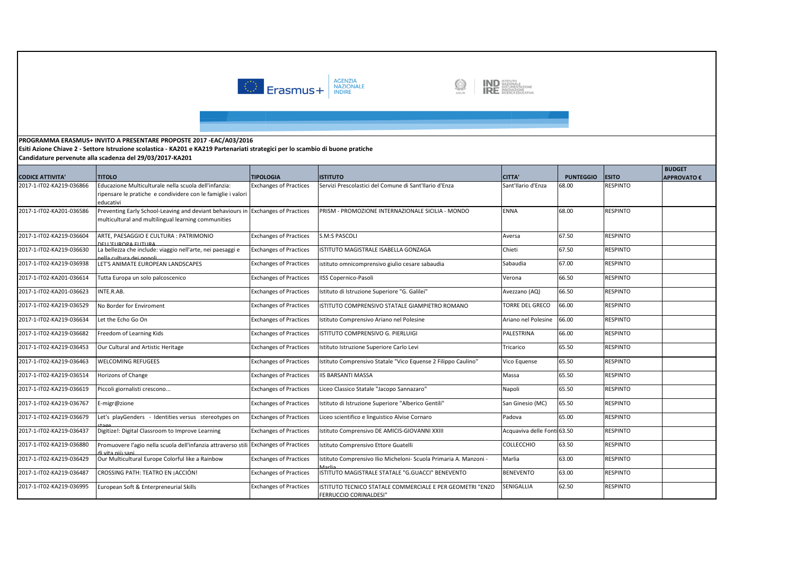



**Esiti Azione Chiave 2 - Settore Istruzione scolastica - KA201 e KA219 Partenariati strategici per lo scambio di buone pratiche**

|                          |                                                                                                                                         |                               |                                                                                     |                             |                  |                 | <b>BUDGET</b>      |
|--------------------------|-----------------------------------------------------------------------------------------------------------------------------------------|-------------------------------|-------------------------------------------------------------------------------------|-----------------------------|------------------|-----------------|--------------------|
| <b>CODICE ATTIVITA'</b>  | <b>TITOLO</b>                                                                                                                           | <b>TIPOLOGIA</b>              | <b>ISTITUTO</b>                                                                     | <b>CITTA'</b>               | <b>PUNTEGGIO</b> | <b>ESITO</b>    | <b>APPROVATO €</b> |
| 2017-1-IT02-KA219-036866 | Educazione Multiculturale nella scuola dell'infanzia:<br>ripensare le pratiche e condividere con le famiglie i valori<br>educativi      | <b>Exchanges of Practices</b> | Servizi Prescolastici del Comune di Sant'Ilario d'Enza                              | Sant'Ilario d'Enza          | 68.00            | <b>RESPINTO</b> |                    |
| 2017-1-IT02-KA201-036586 | Preventing Early School-Leaving and deviant behaviours in Exchanges of Practices<br>multicultural and multilingual learning communities |                               | PRISM - PROMOZIONE INTERNAZIONALE SICILIA - MONDO                                   | <b>ENNA</b>                 | 68.00            | <b>RESPINTO</b> |                    |
| 2017-1-IT02-KA219-036604 | ARTE. PAESAGGIO E CULTURA : PATRIMONIO<br><b>ELL'ELIROPA ELITLIRA</b>                                                                   | <b>Exchanges of Practices</b> | <b>S.M:S PASCOLI</b>                                                                | Aversa                      | 67.50            | <b>RESPINTO</b> |                    |
| 2017-1-IT02-KA219-036630 | La bellezza che include: viaggio nell'arte, nei paesaggi e<br>alla cultura dei nonoli.                                                  | <b>Exchanges of Practices</b> | ISTITUTO MAGISTRALE ISABELLA GONZAGA                                                | Chieti                      | 67.50            | <b>RESPINTO</b> |                    |
| 2017-1-IT02-KA219-036938 | LET'S ANIMATE EUROPEAN LANDSCAPES                                                                                                       | <b>Exchanges of Practices</b> | istituto omnicomprensivo giulio cesare sabaudia                                     | Sabaudia                    | 67.00            | <b>RESPINTO</b> |                    |
| 2017-1-IT02-KA201-036614 | Tutta Europa un solo palcoscenico                                                                                                       | <b>Exchanges of Practices</b> | <b>IISS Copernico-Pasoli</b>                                                        | Verona                      | 66.50            | <b>RESPINTO</b> |                    |
| 2017-1-IT02-KA201-036623 | INTE.R.AB.                                                                                                                              | <b>Exchanges of Practices</b> | Istituto di Istruzione Superiore "G. Galilei"                                       | Avezzano (AQ)               | 66.50            | <b>RESPINTO</b> |                    |
| 2017-1-IT02-KA219-036529 | No Border for Enviroment                                                                                                                | <b>Exchanges of Practices</b> | ISTITUTO COMPRENSIVO STATALE GIAMPIETRO ROMANO                                      | <b>TORRE DEL GRECO</b>      | 66.00            | <b>RESPINTO</b> |                    |
| 2017-1-IT02-KA219-036634 | Let the Echo Go On                                                                                                                      | <b>Exchanges of Practices</b> | Istituto Comprensivo Ariano nel Polesine                                            | Ariano nel Polesine         | 66.00            | <b>RESPINTO</b> |                    |
| 2017-1-IT02-KA219-036682 | Freedom of Learning Kids                                                                                                                | <b>Exchanges of Practices</b> | ISTITUTO COMPRENSIVO G. PIERLUIGI                                                   | PALESTRINA                  | 66.00            | <b>RESPINTO</b> |                    |
| 2017-1-IT02-KA219-036453 | Our Cultural and Artistic Heritage                                                                                                      | <b>Exchanges of Practices</b> | Istituto Istruzione Superiore Carlo Levi                                            | Tricarico                   | 65.50            | RESPINTO        |                    |
| 2017-1-IT02-KA219-036463 | <b>WELCOMING REFUGEES</b>                                                                                                               | <b>Exchanges of Practices</b> | Istituto Comprensivo Statale "Vico Equense 2 Filippo Caulino"                       | Vico Equense                | 65.50            | <b>RESPINTO</b> |                    |
| 2017-1-IT02-KA219-036514 | <b>Horizons of Change</b>                                                                                                               | <b>Exchanges of Practices</b> | <b>IIS BARSANTI MASSA</b>                                                           | Massa                       | 65.50            | <b>RESPINTO</b> |                    |
| 2017-1-IT02-KA219-036619 | Piccoli giornalisti crescono                                                                                                            | <b>Exchanges of Practices</b> | Liceo Classico Statale "Jacopo Sannazaro"                                           | Napoli                      | 65.50            | <b>RESPINTO</b> |                    |
| 2017-1-IT02-KA219-036767 | E-migr@zione                                                                                                                            | <b>Exchanges of Practices</b> | Istituto di Istruzione Superiore "Alberico Gentili"                                 | San Ginesio (MC)            | 65.50            | <b>RESPINTO</b> |                    |
| 2017-1-IT02-KA219-036679 | Let's playGenders - Identities versus stereotypes on                                                                                    | <b>Exchanges of Practices</b> | Liceo scientifico e linguistico Alvise Cornaro                                      | Padova                      | 65.00            | <b>RESPINTO</b> |                    |
| 2017-1-IT02-KA219-036437 | Digitize!: Digital Classroom to Improve Learning                                                                                        | <b>Exchanges of Practices</b> | Istituto Comprensivo DE AMICIS-GIOVANNI XXIII                                       | Acquaviva delle Fonti 63.50 |                  | <b>RESPINTO</b> |                    |
| 2017-1-IT02-KA219-036880 | Promuovere l'agio nella scuola dell'infanzia attraverso stil<br>i vita niù cani                                                         | <b>Exchanges of Practices</b> | Istituto Comprensivo Ettore Guatelli                                                | <b>COLLECCHIO</b>           | 63.50            | <b>RESPINTO</b> |                    |
| 2017-1-IT02-KA219-036429 | Our Multicultural Europe Colorful like a Rainbow                                                                                        | <b>Exchanges of Practices</b> | Istituto Comprensivo Ilio Micheloni- Scuola Primaria A. Manzoni -                   | Marlia                      | 63.00            | <b>RESPINTO</b> |                    |
| 2017-1-IT02-KA219-036487 | CROSSING PATH: TEATRO EN ¡ACCIÓN!                                                                                                       | <b>Exchanges of Practices</b> | ISTITUTO MAGISTRALE STATALE "G.GUACCI" BENEVENTO                                    | <b>BENEVENTO</b>            | 63.00            | <b>RESPINTO</b> |                    |
| 2017-1-IT02-KA219-036995 | European Soft & Enterpreneurial Skills                                                                                                  | <b>Exchanges of Practices</b> | ISTITUTO TECNICO STATALE COMMERCIALE E PER GEOMETRI "ENZO<br>FERRUCCIO CORINALDESI" | SENIGALLIA                  | 62.50            | <b>RESPINTO</b> |                    |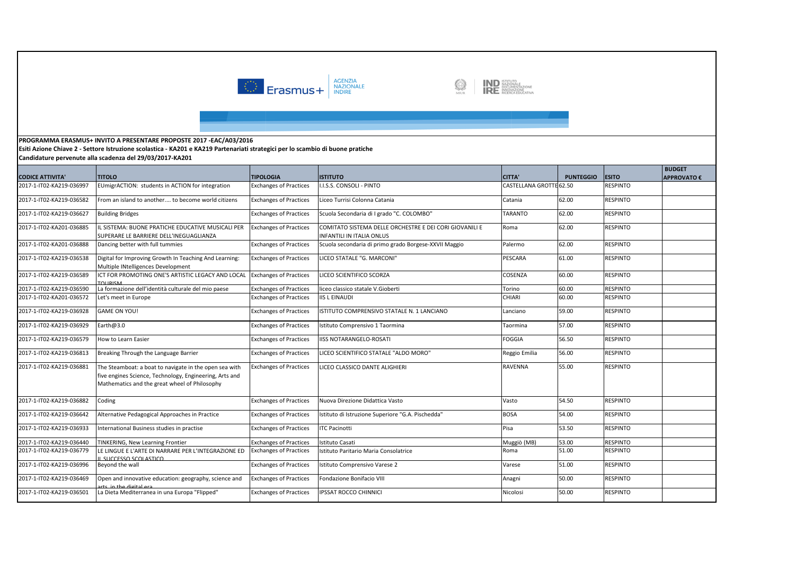



**Esiti Azione Chiave 2 - Settore Istruzione scolastica - KA201 e KA219 Partenariati strategici per lo scambio di buone pratiche**

|                          |                                                                                                                                                                    |                               |                                                                                             |                         |                  |                 | <b>BUDGET</b>      |
|--------------------------|--------------------------------------------------------------------------------------------------------------------------------------------------------------------|-------------------------------|---------------------------------------------------------------------------------------------|-------------------------|------------------|-----------------|--------------------|
| <b>CODICE ATTIVITA'</b>  | <b>TITOLO</b>                                                                                                                                                      | <b>TIPOLOGIA</b>              | <b>ISTITUTO</b>                                                                             | <b>CITTA'</b>           | <b>PUNTEGGIO</b> | <b>ESITO</b>    | <b>APPROVATO €</b> |
| 2017-1-IT02-KA219-036997 | EUmigrACTION: students in ACTION for integration                                                                                                                   | <b>Exchanges of Practices</b> | <b>I.S.S. CONSOLI - PINTO</b>                                                               | CASTELLANA GROTTE 62.50 |                  | <b>RESPINTO</b> |                    |
| 2017-1-IT02-KA219-036582 | From an island to another to become world citizens                                                                                                                 | <b>Exchanges of Practices</b> | Liceo Turrisi Colonna Catania                                                               | Catania                 | 62.00            | <b>RESPINTO</b> |                    |
| 2017-1-IT02-KA219-036627 | <b>Building Bridges</b>                                                                                                                                            | <b>Exchanges of Practices</b> | Scuola Secondaria di I grado "C. COLOMBO"                                                   | TARANTO                 | 62.00            | RESPINTO        |                    |
| 2017-1-IT02-KA201-036885 | IL SISTEMA: BUONE PRATICHE EDUCATIVE MUSICALI PER<br>SUPERARE LE BARRIERE DELL'INEGUAGLIANZA                                                                       | <b>Exchanges of Practices</b> | COMITATO SISTEMA DELLE ORCHESTRE E DEI CORI GIOVANILI E<br><b>INFANTILI IN ITALIA ONLUS</b> | Roma                    | 62.00            | RESPINTO        |                    |
| 2017-1-IT02-KA201-036888 | Dancing better with full tummies                                                                                                                                   | <b>Exchanges of Practices</b> | Scuola secondaria di primo grado Borgese-XXVII Maggio                                       | Palermo                 | 62.00            | <b>RESPINTO</b> |                    |
| 2017-1-IT02-KA219-036538 | Digital for Improving Growth In Teaching And Learning:<br>Multiple INtelligences Development                                                                       | <b>Exchanges of Practices</b> | LICEO STATALE "G. MARCONI"                                                                  | PESCARA                 | 61.00            | <b>RESPINTO</b> |                    |
| 2017-1-IT02-KA219-036589 | ICT FOR PROMOTING ONE'S ARTISTIC LEGACY AND LOCAL<br><b>TOLIRISM</b>                                                                                               | <b>Exchanges of Practices</b> | LICEO SCIENTIFICO SCORZA                                                                    | COSENZA                 | 60.00            | RESPINTO        |                    |
| 2017-1-IT02-KA219-036590 | La formazione dell'identità culturale del mio paese                                                                                                                | <b>Exchanges of Practices</b> | liceo classico statale V.Gioberti                                                           | Torino                  | 60.00            | <b>RESPINTO</b> |                    |
| 2017-1-IT02-KA201-036572 | Let's meet in Europe                                                                                                                                               | <b>Exchanges of Practices</b> | <b>IIS L EINAUDI</b>                                                                        | CHIARI                  | 60.00            | RESPINTO        |                    |
| 2017-1-IT02-KA219-036928 | <b>GAME ON YOU!</b>                                                                                                                                                | <b>Exchanges of Practices</b> | ISTITUTO COMPRENSIVO STATALE N. 1 LANCIANO                                                  | Lanciano                | 59.00            | RESPINTO        |                    |
| 2017-1-IT02-KA219-036929 | Earth@3.0                                                                                                                                                          | <b>Exchanges of Practices</b> | Istituto Comprensivo 1 Taormina                                                             | Taormina                | 57.00            | RESPINTO        |                    |
| 2017-1-IT02-KA219-036579 | How to Learn Easier                                                                                                                                                | <b>Exchanges of Practices</b> | <b>IISS NOTARANGELO-ROSATI</b>                                                              | <b>FOGGIA</b>           | 56.50            | <b>RESPINTO</b> |                    |
| 2017-1-IT02-KA219-036813 | Breaking Through the Language Barrier                                                                                                                              | <b>Exchanges of Practices</b> | LICEO SCIENTIFICO STATALE "ALDO MORO"                                                       | Reggio Emilia           | 56.00            | <b>RESPINTO</b> |                    |
| 2017-1-IT02-KA219-036881 | The Steamboat: a boat to navigate in the open sea with<br>five engines Science, Technology, Engineering, Arts and<br>Mathematics and the great wheel of Philosophy | <b>Exchanges of Practices</b> | LICEO CLASSICO DANTE ALIGHIERI                                                              | RAVENNA                 | 55.00            | <b>RESPINTO</b> |                    |
| 2017-1-IT02-KA219-036882 | Coding                                                                                                                                                             | <b>Exchanges of Practices</b> | Nuova Direzione Didattica Vasto                                                             | Vasto                   | 54.50            | <b>RESPINTO</b> |                    |
| 2017-1-IT02-KA219-036642 | Alternative Pedagogical Approaches in Practice                                                                                                                     | <b>Exchanges of Practices</b> | Istituto di Istruzione Superiore "G.A. Pischedda"                                           | <b>BOSA</b>             | 54.00            | RESPINTO        |                    |
| 2017-1-IT02-KA219-036933 | International Business studies in practise                                                                                                                         | <b>Exchanges of Practices</b> | <b>ITC Pacinotti</b>                                                                        | Pisa                    | 53.50            | RESPINTO        |                    |
| 2017-1-IT02-KA219-036440 | TINKERING, New Learning Frontier                                                                                                                                   | <b>Exchanges of Practices</b> | stituto Casati                                                                              | Muggiò (MB)             | 53.00            | <b>RESPINTO</b> |                    |
| 2017-1-IT02-KA219-036779 | LE LINGUE E L'ARTE DI NARRARE PER L'INTEGRAZIONE ED<br>SUCCESSO SCOLASTICO                                                                                         | <b>Exchanges of Practices</b> | Istituto Paritario Maria Consolatrice                                                       | Roma                    | 51.00            | RESPINTO        |                    |
| 2017-1-IT02-KA219-036996 | Beyond the wall                                                                                                                                                    | <b>Exchanges of Practices</b> | Istituto Comprensivo Varese 2                                                               | Varese                  | 51.00            | <b>RESPINTO</b> |                    |
| 2017-1-IT02-KA219-036469 | Open and innovative education: geography, science and                                                                                                              | <b>Exchanges of Practices</b> | Fondazione Bonifacio VIII                                                                   | Anagni                  | 50.00            | <b>RESPINTO</b> |                    |
| 2017-1-IT02-KA219-036501 | La Dieta Mediterranea in una Europa "Flipped"                                                                                                                      | <b>Exchanges of Practices</b> | <b>IPSSAT ROCCO CHINNICI</b>                                                                | Nicolosi                | 50.00            | RESPINTO        |                    |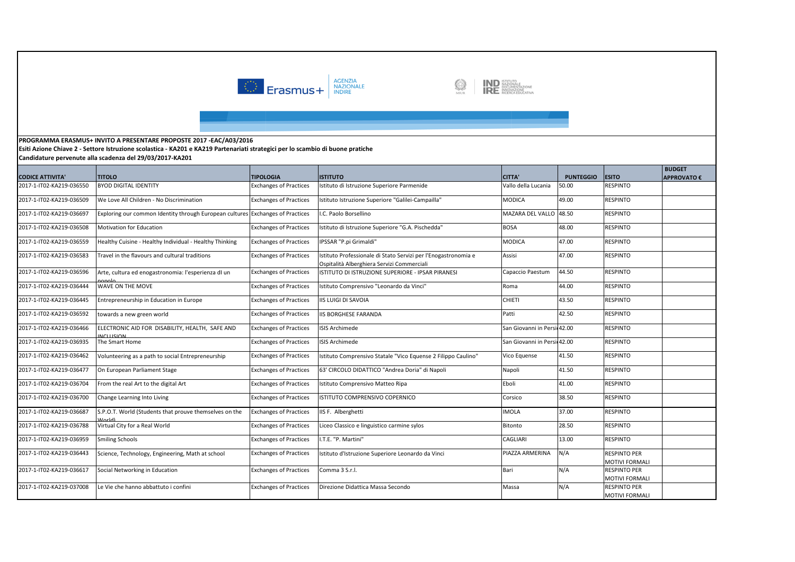



**Esiti Azione Chiave 2 - Settore Istruzione scolastica - KA201 e KA219 Partenariati strategici per lo scambio di buone pratiche**

|                          |                                                                                |                               |                                                                                                              |                             |                  |                                       | <b>BUDGET</b>      |
|--------------------------|--------------------------------------------------------------------------------|-------------------------------|--------------------------------------------------------------------------------------------------------------|-----------------------------|------------------|---------------------------------------|--------------------|
| <b>CODICE ATTIVITA</b>   | <b>TITOLO</b>                                                                  | <b>TIPOLOGIA</b>              | <b>ISTITUTO</b>                                                                                              | <b>CITTA'</b>               | <b>PUNTEGGIO</b> | <b>ESITO</b>                          | <b>APPROVATO €</b> |
| 2017-1-IT02-KA219-036550 | <b>BYOD DIGITAL IDENTITY</b>                                                   | <b>Exchanges of Practices</b> | Istituto di Istruzione Superiore Parmenide                                                                   | Vallo della Lucania         | 50.00            | RESPINTO                              |                    |
| 2017-1-IT02-KA219-036509 | We Love All Children - No Discrimination                                       | <b>Exchanges of Practices</b> | Istituto Istruzione Superiore "Galilei-Campailla"                                                            | <b>MODICA</b>               | 49.00            | <b>RESPINTO</b>                       |                    |
| 2017-1-IT02-KA219-036697 | Exploring our common Identity through European cultures Exchanges of Practices |                               | I.C. Paolo Borsellino                                                                                        | MAZARA DEL VALLO 48.50      |                  | <b>RESPINTO</b>                       |                    |
| 2017-1-IT02-KA219-036508 | Motivation for Education                                                       | <b>Exchanges of Practices</b> | Istituto di Istruzione Superiore "G.A. Pischedda"                                                            | <b>BOSA</b>                 | 48.00            | <b>RESPINTO</b>                       |                    |
| 2017-1-IT02-KA219-036559 | Healthy Cuisine - Healthy Individual - Healthy Thinking                        | <b>Exchanges of Practices</b> | IPSSAR "P.pi Grimaldi"                                                                                       | <b>MODICA</b>               | 47.00            | <b>RESPINTO</b>                       |                    |
| 2017-1-IT02-KA219-036583 | Travel in the flavours and cultural traditions                                 | <b>Exchanges of Practices</b> | Istituto Professionale di Stato Servizi per l'Enogastronomia e<br>Ospitalità Alberghiera Servizi Commerciali | Assisi                      | 47.00            | <b>RESPINTO</b>                       |                    |
| 2017-1-IT02-KA219-036596 | Arte, cultura ed enogastronomia: l'esperienza di un<br>onok                    | <b>Exchanges of Practices</b> | ISTITUTO DI ISTRUZIONE SUPERIORE - IPSAR PIRANESI                                                            | Capaccio Paestum            | 44.50            | <b>RESPINTO</b>                       |                    |
| 2017-1-IT02-KA219-036444 | WAVE ON THE MOVE                                                               | <b>Exchanges of Practices</b> | Istituto Comprensivo "Leonardo da Vinci"                                                                     | Roma                        | 44.00            | <b>RESPINTO</b>                       |                    |
| 2017-1-IT02-KA219-036445 | Entrepreneurship in Education in Europe                                        | <b>Exchanges of Practices</b> | <b>IIS LUIGI DI SAVOIA</b>                                                                                   | <b>CHIETI</b>               | 43.50            | <b>RESPINTO</b>                       |                    |
| 2017-1-IT02-KA219-036592 | towards a new green world                                                      | <b>Exchanges of Practices</b> | <b>IIS BORGHESE FARANDA</b>                                                                                  | Patti                       | 42.50            | <b>RESPINTO</b>                       |                    |
| 2017-1-IT02-KA219-036466 | ELECTRONIC AID FOR DISABILITY, HEALTH, SAFE AND<br><b>NCLUSION</b>             | <b>Exchanges of Practices</b> | ISIS Archimede                                                                                               | San Giovanni in Persi 42.00 |                  | <b>RESPINTO</b>                       |                    |
| 2017-1-IT02-KA219-036935 | The Smart Home                                                                 | <b>Exchanges of Practices</b> | <b>ISIS Archimede</b>                                                                                        | San Giovanni in Persi 42.00 |                  | <b>RESPINTO</b>                       |                    |
| 2017-1-IT02-KA219-036462 | Volunteering as a path to social Entrepreneurship                              | <b>Exchanges of Practices</b> | Istituto Comprensivo Statale "Vico Equense 2 Filippo Caulino"                                                | Vico Equense                | 41.50            | <b>RESPINTO</b>                       |                    |
| 2017-1-IT02-KA219-036477 | On European Parliament Stage                                                   | <b>Exchanges of Practices</b> | 63' CIRCOLO DIDATTICO "Andrea Doria" di Napoli                                                               | Napoli                      | 41.50            | <b>RESPINTO</b>                       |                    |
| 2017-1-IT02-KA219-036704 | From the real Art to the digital Art                                           | <b>Exchanges of Practices</b> | Istituto Comprensivo Matteo Ripa                                                                             | Eboli                       | 41.00            | <b>RESPINTO</b>                       |                    |
| 2017-1-IT02-KA219-036700 | Change Learning Into Living                                                    | <b>Exchanges of Practices</b> | ISTITUTO COMPRENSIVO COPERNICO                                                                               | Corsico                     | 38.50            | <b>RESPINTO</b>                       |                    |
| 2017-1-IT02-KA219-036687 | S.P.O.T. World (Students that prouve themselves on the                         | <b>Exchanges of Practices</b> | IIS F. Alberghetti                                                                                           | <b>IMOLA</b>                | 37.00            | <b>RESPINTO</b>                       |                    |
| 2017-1-IT02-KA219-036788 | Virtual City for a Real World                                                  | <b>Exchanges of Practices</b> | Liceo Classico e linguistico carmine sylos                                                                   | <b>Bitonto</b>              | 28.50            | RESPINTO                              |                    |
| 2017-1-IT02-KA219-036959 | <b>Smiling Schools</b>                                                         | <b>Exchanges of Practices</b> | I.T.E. "P. Martini"                                                                                          | <b>CAGLIARI</b>             | 13.00            | <b>RESPINTO</b>                       |                    |
| 2017-1-IT02-KA219-036443 | Science, Technology, Engineering, Math at school                               | <b>Exchanges of Practices</b> | Istituto d'Istruzione Superiore Leonardo da Vinci                                                            | PIAZZA ARMERINA             | N/A              | <b>RESPINTO PER</b>                   |                    |
|                          |                                                                                |                               |                                                                                                              |                             |                  | MOTIVI FORMALI                        |                    |
| 2017-1-IT02-KA219-036617 | Social Networking in Education                                                 | <b>Exchanges of Practices</b> | Comma 3 S.r.l.                                                                                               | Bari                        | N/A              | <b>RESPINTO PER</b>                   |                    |
| 2017-1-IT02-KA219-037008 | Le Vie che hanno abbattuto i confini                                           | <b>Exchanges of Practices</b> |                                                                                                              | Massa                       | N/A              | MOTIVI FORMALI<br><b>RESPINTO PER</b> |                    |
|                          |                                                                                |                               | Direzione Didattica Massa Secondo                                                                            |                             |                  | MOTIVI FORMALI                        |                    |
|                          |                                                                                |                               |                                                                                                              |                             |                  |                                       |                    |